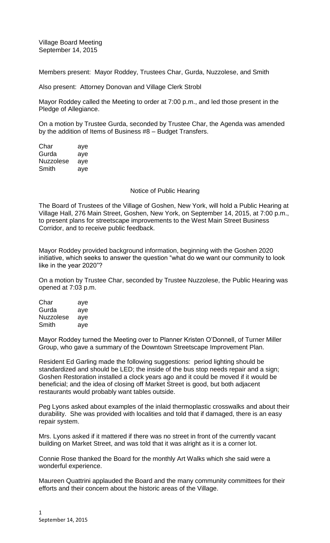Village Board Meeting September 14, 2015

Members present: Mayor Roddey, Trustees Char, Gurda, Nuzzolese, and Smith

Also present: Attorney Donovan and Village Clerk Strobl

Mayor Roddey called the Meeting to order at 7:00 p.m., and led those present in the Pledge of Allegiance.

On a motion by Trustee Gurda, seconded by Trustee Char, the Agenda was amended by the addition of Items of Business #8 – Budget Transfers.

Char aye Gurda aye Nuzzolese aye Smith aye

### Notice of Public Hearing

The Board of Trustees of the Village of Goshen, New York, will hold a Public Hearing at Village Hall, 276 Main Street, Goshen, New York, on September 14, 2015, at 7:00 p.m., to present plans for streetscape improvements to the West Main Street Business Corridor, and to receive public feedback.

Mayor Roddey provided background information, beginning with the Goshen 2020 initiative, which seeks to answer the question "what do we want our community to look like in the year 2020"?

On a motion by Trustee Char, seconded by Trustee Nuzzolese, the Public Hearing was opened at 7:03 p.m.

| Char      | aye |
|-----------|-----|
| Gurda     | aye |
| Nuzzolese | aye |
| Smith     | aye |

Mayor Roddey turned the Meeting over to Planner Kristen O'Donnell, of Turner Miller Group, who gave a summary of the Downtown Streetscape Improvement Plan.

Resident Ed Garling made the following suggestions: period lighting should be standardized and should be LED; the inside of the bus stop needs repair and a sign; Goshen Restoration installed a clock years ago and it could be moved if it would be beneficial; and the idea of closing off Market Street is good, but both adjacent restaurants would probably want tables outside.

Peg Lyons asked about examples of the inlaid thermoplastic crosswalks and about their durability. She was provided with localities and told that if damaged, there is an easy repair system.

Mrs. Lyons asked if it mattered if there was no street in front of the currently vacant building on Market Street, and was told that it was alright as it is a corner lot.

Connie Rose thanked the Board for the monthly Art Walks which she said were a wonderful experience.

Maureen Quattrini applauded the Board and the many community committees for their efforts and their concern about the historic areas of the Village.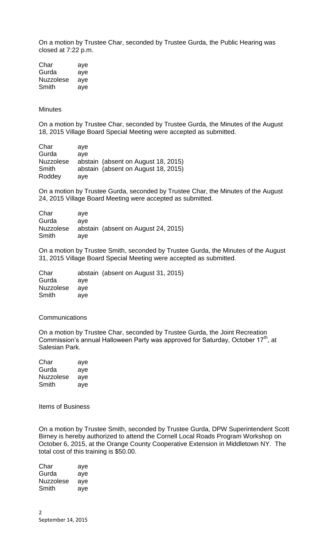On a motion by Trustee Char, seconded by Trustee Gurda, the Public Hearing was closed at 7:22 p.m.

Char aye Gurda aye Nuzzolese aye Smith aye

### **Minutes**

On a motion by Trustee Char, seconded by Trustee Gurda, the Minutes of the August 18, 2015 Village Board Special Meeting were accepted as submitted.

Char aye Gurda aye Nuzzolese abstain (absent on August 18, 2015) Smith abstain (absent on August 18, 2015) Roddey aye

On a motion by Trustee Gurda, seconded by Trustee Char, the Minutes of the August 24, 2015 Village Board Meeting were accepted as submitted.

| Char      | ave                                 |
|-----------|-------------------------------------|
| Gurda     | ave                                 |
| Nuzzolese | abstain (absent on August 24, 2015) |
| Smith     | ave                                 |

On a motion by Trustee Smith, seconded by Trustee Gurda, the Minutes of the August 31, 2015 Village Board Special Meeting were accepted as submitted.

Char abstain (absent on August 31, 2015) Gurda aye Nuzzolese aye Smith aye

## **Communications**

On a motion by Trustee Char, seconded by Trustee Gurda, the Joint Recreation Commission's annual Halloween Party was approved for Saturday, October 17<sup>th</sup>, at Salesian Park.

| Char      | aye |
|-----------|-----|
| Gurda     | aye |
| Nuzzolese | aye |
| Smith     | aye |

Items of Business

On a motion by Trustee Smith, seconded by Trustee Gurda, DPW Superintendent Scott Birney is hereby authorized to attend the Cornell Local Roads Program Workshop on October 6, 2015, at the Orange County Cooperative Extension in Middletown NY. The total cost of this training is \$50.00.

Char aye Gurda aye Nuzzolese aye Smith aye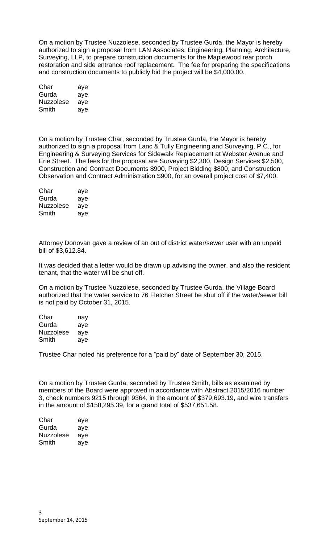On a motion by Trustee Nuzzolese, seconded by Trustee Gurda, the Mayor is hereby authorized to sign a proposal from LAN Associates, Engineering, Planning, Architecture, Surveying, LLP, to prepare construction documents for the Maplewood rear porch restoration and side entrance roof replacement. The fee for preparing the specifications and construction documents to publicly bid the project will be \$4,000.00.

| Char      | aye |
|-----------|-----|
| Gurda     | aye |
| Nuzzolese | aye |
| Smith     | aye |

On a motion by Trustee Char, seconded by Trustee Gurda, the Mayor is hereby authorized to sign a proposal from Lanc & Tully Engineering and Surveying, P.C., for Engineering & Surveying Services for Sidewalk Replacement at Webster Avenue and Erie Street. The fees for the proposal are Surveying \$2,300, Design Services \$2,500, Construction and Contract Documents \$900, Project Bidding \$800, and Construction Observation and Contract Administration \$900, for an overall project cost of \$7,400.

| Char             | aye |
|------------------|-----|
| Gurda            | aye |
| <b>Nuzzolese</b> | aye |
| Smith            | aye |

Attorney Donovan gave a review of an out of district water/sewer user with an unpaid bill of \$3,612.84.

It was decided that a letter would be drawn up advising the owner, and also the resident tenant, that the water will be shut off.

On a motion by Trustee Nuzzolese, seconded by Trustee Gurda, the Village Board authorized that the water service to 76 Fletcher Street be shut off if the water/sewer bill is not paid by October 31, 2015.

| Char             | nay |
|------------------|-----|
| Gurda            | aye |
| <b>Nuzzolese</b> | aye |
| Smith            | ave |

Trustee Char noted his preference for a "paid by" date of September 30, 2015.

On a motion by Trustee Gurda, seconded by Trustee Smith, bills as examined by members of the Board were approved in accordance with Abstract 2015/2016 number 3, check numbers 9215 through 9364, in the amount of \$379,693.19, and wire transfers in the amount of \$158,295.39, for a grand total of \$537,651.58.

| Char      | aye |
|-----------|-----|
| Gurda     | aye |
| Nuzzolese | aye |
| Smith     | aye |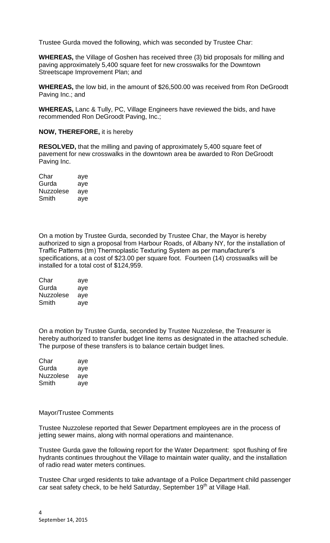Trustee Gurda moved the following, which was seconded by Trustee Char:

**WHEREAS,** the Village of Goshen has received three (3) bid proposals for milling and paving approximately 5,400 square feet for new crosswalks for the Downtown Streetscape Improvement Plan; and

**WHEREAS,** the low bid, in the amount of \$26,500.00 was received from Ron DeGroodt Paving Inc.; and

**WHEREAS,** Lanc & Tully, PC, Village Engineers have reviewed the bids, and have recommended Ron DeGroodt Paving, Inc.;

# **NOW, THEREFORE,** it is hereby

**RESOLVED,** that the milling and paving of approximately 5,400 square feet of pavement for new crosswalks in the downtown area be awarded to Ron DeGroodt Paving Inc.

| Char             | aye |
|------------------|-----|
| Gurda            | aye |
| <b>Nuzzolese</b> | aye |
| Smith            | aye |

On a motion by Trustee Gurda, seconded by Trustee Char, the Mayor is hereby authorized to sign a proposal from Harbour Roads, of Albany NY, for the installation of Traffic Patterns (tm) Thermoplastic Texturing System as per manufacturer's specifications, at a cost of \$23.00 per square foot. Fourteen (14) crosswalks will be installed for a total cost of \$124,959.

| Char      | aye |
|-----------|-----|
| Gurda     | aye |
| Nuzzolese | aye |
| Smith     | aye |

On a motion by Trustee Gurda, seconded by Trustee Nuzzolese, the Treasurer is hereby authorized to transfer budget line items as designated in the attached schedule. The purpose of these transfers is to balance certain budget lines.

| Char      | aye |
|-----------|-----|
| Gurda     | aye |
| Nuzzolese | aye |
| Smith     | aye |

## Mayor/Trustee Comments

Trustee Nuzzolese reported that Sewer Department employees are in the process of jetting sewer mains, along with normal operations and maintenance.

Trustee Gurda gave the following report for the Water Department: spot flushing of fire hydrants continues throughout the Village to maintain water quality, and the installation of radio read water meters continues.

Trustee Char urged residents to take advantage of a Police Department child passenger car seat safety check, to be held Saturday, September 19<sup>th</sup> at Village Hall.